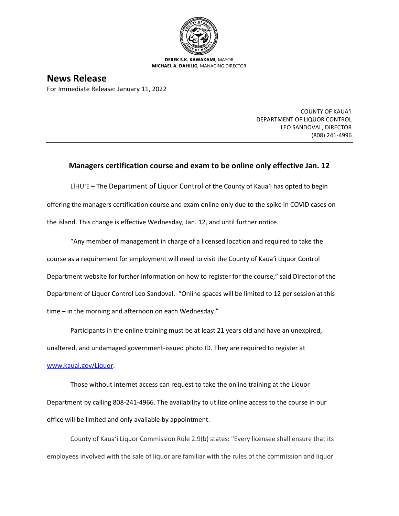

**DEREK S.K. KAWAKAMI,** MAYOR **MICHAEL A. DAHILIG,** MANAGING DIRECTOR

## **News Release**

For Immediate Release: January 11, 2022

COUNTY OF KAUA'I DEPARTMENT OF LIQUOR CONTROL LEO SANDOVAL, DIRECTOR (808) 241-4996

## **Managers certification course and exam to be online only effective Jan. 12**

LĪHU'E – The Department of Liquor Control of the County of Kaua'i has opted to begin offering the managers certification course and exam online only due to the spike in COVID cases on the island. This change is effective Wednesday, Jan. 12, and until further notice.

"Any member of management in charge of a licensed location and required to take the course as a requirement for employment will need to visit the County of Kaua'i Liquor Control Department website for further information on how to register for the course," said Director of the Department of Liquor Control Leo Sandoval. "Online spaces will be limited to 12 per session at this time – in the morning and afternoon on each Wednesday."

Participants in the online training must be at least 21 years old and have an unexpired, unaltered, and undamaged government-issued photo ID. They are required to register at [www.kauai.gov/Liquor.](http://www.kauai.gov/Liquor)

Those without internet access can request to take the online training at the Liquor Department by calling 808-241-4966. The availability to utilize online access to the course in our office will be limited and only available by appointment.

County of Kaua'i Liquor Commission Rule 2.9(b) states: "Every licensee shall ensure that its employees involved with the sale of liquor are familiar with the rules of the commission and liquor